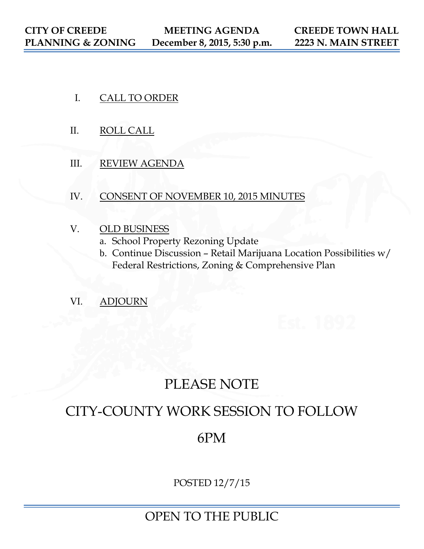- I. CALL TO ORDER
- II. ROLL CALL
- III. REVIEW AGENDA
- IV. CONSENT OF NOVEMBER 10, 2015 MINUTES
- V. OLD BUSINESS
	- a. School Property Rezoning Update
	- b. Continue Discussion Retail Marijuana Location Possibilities w/ Federal Restrictions, Zoning & Comprehensive Plan
- VI. ADJOURN

# PLEASE NOTE

# CITY-COUNTY WORK SESSION TO FOLLOW

## 6PM

POSTED 12/7/15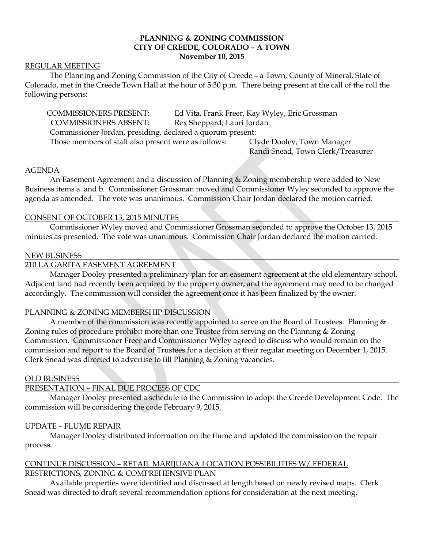## **PLANNING & ZONING COMMISSION CITY OF CREEDE, COLORADO – A TOWN November 10, 2015**

## REGULAR MEETING

The Planning and Zoning Commission of the City of Creede – a Town, County of Mineral, State of Colorado, met in the Creede Town Hall at the hour of 5:30 p.m. There being present at the call of the roll the following persons:

| <b>COMMISSIONERS PRESENT:</b>                              |                            | Ed Vita, Frank Freer, Kay Wyley, Eric Grossman |
|------------------------------------------------------------|----------------------------|------------------------------------------------|
| <b>COMMISSIONERS ABSENT:</b>                               | Rex Sheppard, Lauri Jordan |                                                |
| Commissioner Jordan, presiding, declared a quorum present: |                            |                                                |
| Those members of staff also present were as follows:       |                            | Clyde Dooley, Town Manager                     |
|                                                            |                            | Randi Snead, Town Clerk/Treasurer              |

### AGENDA

An Easement Agreement and a discussion of Planning & Zoning membership were added to New Business items a. and b. Commissioner Grossman moved and Commissioner Wyley seconded to approve the agenda as amended. The vote was unanimous. Commission Chair Jordan declared the motion carried.

### CONSENT OF OCTOBER 13, 2015 MINUTES

Commissioner Wyley moved and Commissioner Grossman seconded to approve the October 13, 2015 minutes as presented. The vote was unanimous. Commission Chair Jordan declared the motion carried.

#### NEW BUSINESS

## 210 LA GARITA EASEMENT AGREEMENT

Manager Dooley presented a preliminary plan for an easement agreement at the old elementary school. Adjacent land had recently been acquired by the property owner, and the agreement may need to be changed accordingly. The commission will consider the agreement once it has been finalized by the owner.

### PLANNING & ZONING MEMBERSHIP DISCUSSION

A member of the commission was recently appointed to serve on the Board of Trustees. Planning & Zoning rules of procedure prohibit more than one Trustee from serving on the Planning & Zoning Commission. Commissioner Freer and Commissioner Wyley agreed to discuss who would remain on the commission and report to the Board of Trustees for a decision at their regular meeting on December 1, 2015. Clerk Snead was directed to advertise to fill Planning & Zoning vacancies.

### OLD BUSINESS

## PRESENTATION – FINAL DUE PROCESS OF CDC

Manager Dooley presented a schedule to the Commission to adopt the Creede Development Code. The commission will be considering the code February 9, 2015.

### UPDATE – FLUME REPAIR

Manager Dooley distributed information on the flume and updated the commission on the repair process.

## CONTINUE DISCUSSION – RETAIL MARIJUANA LOCATION POSSIBILITIES W/ FEDERAL RESTRICTIONS, ZONING & COMPREHENSIVE PLAN

Available properties were identified and discussed at length based on newly revised maps. Clerk Snead was directed to draft several recommendation options for consideration at the next meeting.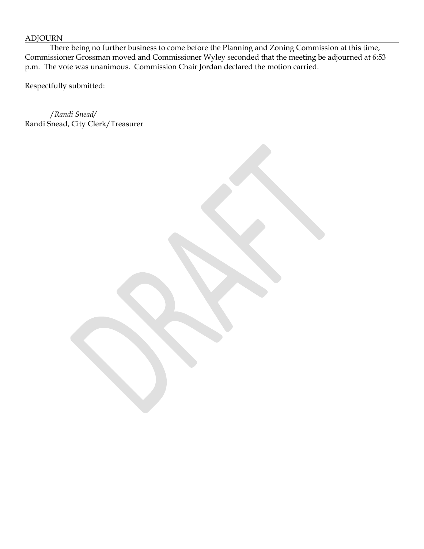## ADJOURN

There being no further business to come before the Planning and Zoning Commission at this time, Commissioner Grossman moved and Commissioner Wyley seconded that the meeting be adjourned at 6:53 p.m. The vote was unanimous. Commission Chair Jordan declared the motion carried.

Respectfully submitted:

/*Randi Snead/* Randi Snead, City Clerk/Treasurer